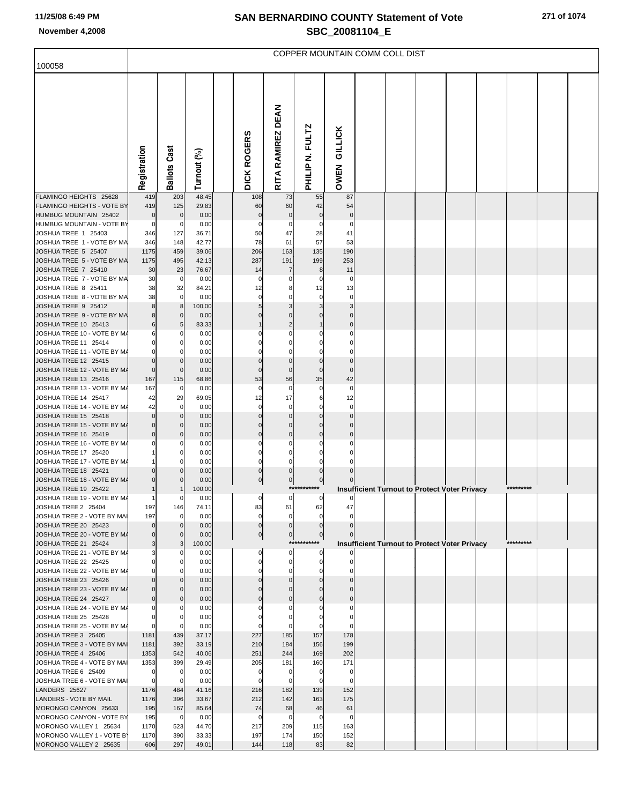# **SAN BERNARDINO COUNTY Statement of Vote November 4,2008 SBC\_20081104\_E**

|                                                     | COPPER MOUNTAIN COMM COLL DIST |                          |                |  |                      |                                              |                               |                        |  |  |  |                                                      |  |           |  |
|-----------------------------------------------------|--------------------------------|--------------------------|----------------|--|----------------------|----------------------------------------------|-------------------------------|------------------------|--|--|--|------------------------------------------------------|--|-----------|--|
| 100058                                              |                                |                          |                |  |                      |                                              |                               |                        |  |  |  |                                                      |  |           |  |
|                                                     | Registration                   | <b>Ballots Cast</b>      | Turnout (%)    |  | <b>DICK ROGERS</b>   | <b>DEAN</b><br><b>RAMIREZ</b><br><b>RITA</b> | PHILIP N. FULTZ               | <b>GILLICK</b><br>OWEN |  |  |  |                                                      |  |           |  |
| FLAMINGO HEIGHTS 25628                              | 419                            | 203                      | 48.45          |  | 108                  | 73                                           | 55                            | 87                     |  |  |  |                                                      |  |           |  |
| FLAMINGO HEIGHTS - VOTE BY<br>HUMBUG MOUNTAIN 25402 | 419<br>$\mathbf 0$             | 125<br>$\Omega$          | 29.83<br>0.00  |  | 60<br>$\Omega$       | 60<br>$\mathbf 0$                            | 42<br>$\mathbf 0$             | 54<br>$\Omega$         |  |  |  |                                                      |  |           |  |
| HUMBUG MOUNTAIN - VOTE BY                           | $\mathbf 0$                    | 0                        | 0.00           |  |                      | 0                                            |                               | C                      |  |  |  |                                                      |  |           |  |
| JOSHUA TREE 1 25403                                 | 346                            | 127                      | 36.71          |  | 50                   | 47                                           | 28                            | 41                     |  |  |  |                                                      |  |           |  |
| JOSHUA TREE 1 - VOTE BY MA                          | 346                            | 148                      | 42.77          |  | 78                   | 61                                           | 57                            | 53                     |  |  |  |                                                      |  |           |  |
| JOSHUA TREE 5 25407<br>JOSHUA TREE 5 - VOTE BY MA   | 1175<br>1175                   | 459<br>495               | 39.06<br>42.13 |  | 206<br>287           | 163<br>191                                   | 135<br>199                    | 190<br>253             |  |  |  |                                                      |  |           |  |
| JOSHUA TREE 7 25410                                 | 30                             | 23                       | 76.67          |  | 14                   | 7                                            | 8                             | 11                     |  |  |  |                                                      |  |           |  |
| JOSHUA TREE 7 - VOTE BY MA                          | 30                             | $\mathbf 0$              | 0.00           |  | 0                    | 0                                            | C                             | C                      |  |  |  |                                                      |  |           |  |
| JOSHUA TREE 8 25411                                 | 38                             | 32                       | 84.21          |  | 12                   | 8                                            | 12                            | 13                     |  |  |  |                                                      |  |           |  |
| JOSHUA TREE 8 - VOTE BY MA                          | 38<br>8                        | $\mathbf 0$<br>8         | 0.00           |  | 0                    |                                              | $\Omega$<br>3                 |                        |  |  |  |                                                      |  |           |  |
| JOSHUA TREE 9 25412<br>JOSHUA TREE 9 - VOTE BY MA   | 8                              | 0                        | 100.00<br>0.00 |  |                      | $\Omega$                                     |                               |                        |  |  |  |                                                      |  |           |  |
| JOSHUA TREE 10 25413                                | 6                              |                          | 83.33          |  |                      |                                              |                               |                        |  |  |  |                                                      |  |           |  |
| JOSHUA TREE 10 - VOTE BY M/                         | 6                              |                          | 0.00           |  |                      |                                              |                               |                        |  |  |  |                                                      |  |           |  |
| JOSHUA TREE 11 25414                                | $\mathbf 0$                    |                          | 0.00           |  |                      |                                              |                               |                        |  |  |  |                                                      |  |           |  |
| JOSHUA TREE 11 - VOTE BY M/<br>JOSHUA TREE 12 25415 | $\mathbf 0$<br>$\mathbf 0$     |                          | 0.00<br>0.00   |  |                      | $\Omega$                                     | $\mathsf{C}$                  |                        |  |  |  |                                                      |  |           |  |
| JOSHUA TREE 12 - VOTE BY M/                         | $\mathbf 0$                    |                          | 0.00           |  | $\Omega$             | $\Omega$                                     | $\Omega$                      | C                      |  |  |  |                                                      |  |           |  |
| JOSHUA TREE 13 25416                                | 167                            | 115                      | 68.86          |  | 53                   | 56                                           | 35                            | 42                     |  |  |  |                                                      |  |           |  |
| JOSHUA TREE 13 - VOTE BY M/                         | 167                            | $\overline{0}$           | 0.00           |  | $\Omega$             | $\mathbf 0$                                  | $\Omega$                      | $\mathsf{C}$           |  |  |  |                                                      |  |           |  |
| JOSHUA TREE 14 25417                                | 42                             | 29                       | 69.05          |  | 12                   | 17                                           | 6                             | 12                     |  |  |  |                                                      |  |           |  |
| JOSHUA TREE 14 - VOTE BY M/<br>JOSHUA TREE 15 25418 | 42<br>$\mathbf 0$              | 0                        | 0.00<br>0.00   |  | 0<br>$\Omega$        | 0<br>$\Omega$                                | C<br>$\sqrt{ }$               | C                      |  |  |  |                                                      |  |           |  |
| JOSHUA TREE 15 - VOTE BY M/                         | $\mathbf 0$                    | 0                        | 0.00           |  |                      | $\Omega$                                     | C                             |                        |  |  |  |                                                      |  |           |  |
| JOSHUA TREE 16 25419                                | $\mathbf 0$                    |                          | 0.00           |  |                      | $\Omega$                                     | C                             |                        |  |  |  |                                                      |  |           |  |
| JOSHUA TREE 16 - VOTE BY M/                         | 0                              |                          | 0.00           |  |                      | 0                                            |                               |                        |  |  |  |                                                      |  |           |  |
| JOSHUA TREE 17 25420<br>JOSHUA TREE 17 - VOTE BY M/ |                                |                          | 0.00<br>0.00   |  | $\Omega$             | $\Omega$                                     | C                             |                        |  |  |  |                                                      |  |           |  |
| JOSHUA TREE 18 25421                                | $\Omega$                       |                          | 0.00           |  | $\mathbf 0$          | $\Omega$                                     | $\Omega$                      |                        |  |  |  |                                                      |  |           |  |
| JOSHUA TREE 18 - VOTE BY M/                         |                                |                          | 0.00           |  | $\pmb{0}$            | $\pmb{0}$                                    | $\pmb{0}$                     |                        |  |  |  |                                                      |  |           |  |
| JOSHUA TREE 19 25422                                |                                |                          | 100.00         |  |                      |                                              | ******                        |                        |  |  |  | <b>Insufficient Turnout to Protect Voter Privacy</b> |  | ********* |  |
| JOSHUA TREE 19 - VOTE BY M/<br>JOSHUA TREE 2 25404  | $\mathbf{1}$<br>197            | O<br>146                 | 0.00<br>74.11  |  | $\overline{0}$<br>83 | $\overline{0}$<br>61                         | $\circ$<br>62                 | 0<br>47                |  |  |  |                                                      |  |           |  |
| JOSHUA TREE 2 - VOTE BY MAI                         | 197                            | $\Omega$                 | 0.00           |  | $\mathbf 0$          | $\mathbf 0$                                  | $\mathbf 0$                   | $\mathcal{C}$          |  |  |  |                                                      |  |           |  |
| JOSHUA TREE 20 25423                                | $\Omega$                       |                          | 0.00           |  | $\mathbf{0}$         | $\Omega$                                     | $\mathbf 0$                   |                        |  |  |  |                                                      |  |           |  |
| JOSHUA TREE 20 - VOTE BY M/                         | $\mathbf 0$                    |                          | 0.00           |  | $\overline{0}$       | $\mathbf 0$                                  | $\overline{0}$<br>*********** |                        |  |  |  |                                                      |  | ********* |  |
| JOSHUA TREE 21 25424<br>JOSHUA TREE 21 - VOTE BY M/ | 3<br>3                         | O                        | 100.00<br>0.00 |  | $\Omega$             | $\overline{0}$                               | 0                             |                        |  |  |  | <b>Insufficient Turnout to Protect Voter Privacy</b> |  |           |  |
| JOSHUA TREE 22 25425                                | $\mathbf 0$                    |                          | 0.00           |  |                      | $\Omega$                                     | $\mathbf 0$                   |                        |  |  |  |                                                      |  |           |  |
| JOSHUA TREE 22 - VOTE BY M/                         | $\mathbf 0$                    |                          | 0.00           |  |                      | O                                            | $\Omega$                      |                        |  |  |  |                                                      |  |           |  |
| JOSHUA TREE 23 25426                                | $\mathbf 0$                    |                          | 0.00           |  |                      | $\Omega$                                     | $\sqrt{ }$                    |                        |  |  |  |                                                      |  |           |  |
| JOSHUA TREE 23 - VOTE BY M/<br>JOSHUA TREE 24 25427 | $\mathbf 0$<br>$\mathbf 0$     | $\mathbf{0}$<br>$\Omega$ | 0.00<br>0.00   |  |                      |                                              | C                             |                        |  |  |  |                                                      |  |           |  |
| JOSHUA TREE 24 - VOTE BY M/                         | $\mathbf 0$                    | O                        | 0.00           |  |                      |                                              |                               |                        |  |  |  |                                                      |  |           |  |
| JOSHUA TREE 25 25428                                | $\mathbf 0$                    |                          | 0.00           |  |                      |                                              |                               |                        |  |  |  |                                                      |  |           |  |
| JOSHUA TREE 25 - VOTE BY M/                         | $\mathbf 0$                    | $\Omega$                 | 0.00           |  |                      |                                              |                               |                        |  |  |  |                                                      |  |           |  |
| JOSHUA TREE 3 25405<br>JOSHUA TREE 3 - VOTE BY MAI  | 1181<br>1181                   | 439<br>392               | 37.17<br>33.19 |  | 227<br>210           | 185<br>184                                   | 157<br>156                    | 178<br>199             |  |  |  |                                                      |  |           |  |
| JOSHUA TREE 4 25406                                 | 1353                           | 542                      | 40.06          |  | 251                  | 244                                          | 169                           | 202                    |  |  |  |                                                      |  |           |  |
| JOSHUA TREE 4 - VOTE BY MAI                         | 1353                           | 399                      | 29.49          |  | 205                  | 181                                          | 160                           | 171                    |  |  |  |                                                      |  |           |  |
| JOSHUA TREE 6 25409                                 | $\mathbf 0$                    | $\Omega$                 | 0.00           |  | $\mathbf 0$          | $\Omega$                                     | $\mathbf 0$                   | $\mathsf{C}$           |  |  |  |                                                      |  |           |  |
| JOSHUA TREE 6 - VOTE BY MAI                         | $\mathbf 0$                    | 0                        | 0.00           |  | O                    |                                              |                               | C                      |  |  |  |                                                      |  |           |  |
| LANDERS 25627<br>LANDERS - VOTE BY MAIL             | 1176<br>1176                   | 484<br>396               | 41.16<br>33.67 |  | 216<br>212           | 182<br>142                                   | 139<br>163                    | 152<br>175             |  |  |  |                                                      |  |           |  |
| MORONGO CANYON 25633                                | 195                            | 167                      | 85.64          |  | 74                   | 68                                           | 46                            | 61                     |  |  |  |                                                      |  |           |  |
| MORONGO CANYON - VOTE BY                            | 195                            | $\overline{0}$           | 0.00           |  | $\Omega$             | $\Omega$                                     | $\mathcal{C}$                 | $\mathbf 0$            |  |  |  |                                                      |  |           |  |
| MORONGO VALLEY 1 25634                              | 1170                           | 523                      | 44.70          |  | 217                  | 209                                          | 115                           | 163                    |  |  |  |                                                      |  |           |  |
| MORONGO VALLEY 1 - VOTE B'                          | 1170                           | 390                      | 33.33          |  | 197                  | 174                                          | 150                           | 152                    |  |  |  |                                                      |  |           |  |
| MORONGO VALLEY 2 25635                              | 606                            | 297                      | 49.01          |  | 144                  | 118                                          | 83                            | 82                     |  |  |  |                                                      |  |           |  |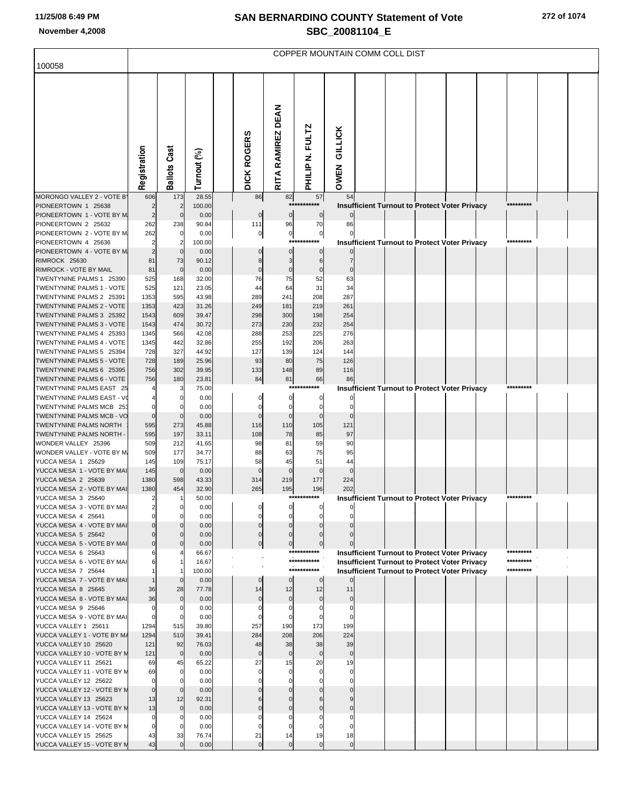# **SAN BERNARDINO COUNTY Statement of Vote November 4,2008 SBC\_20081104\_E**

| 272 of 1074 |  |  |  |  |
|-------------|--|--|--|--|
|-------------|--|--|--|--|

|                                                            | COPPER MOUNTAIN COMM COLL DIST |                       |                 |                    |                            |                      |                          |                |  |  |  |                                                      |  |           |  |
|------------------------------------------------------------|--------------------------------|-----------------------|-----------------|--------------------|----------------------------|----------------------|--------------------------|----------------|--|--|--|------------------------------------------------------|--|-----------|--|
| 100058                                                     |                                |                       |                 |                    |                            |                      |                          |                |  |  |  |                                                      |  |           |  |
|                                                            |                                |                       |                 |                    |                            |                      |                          |                |  |  |  |                                                      |  |           |  |
|                                                            |                                |                       |                 |                    |                            |                      |                          |                |  |  |  |                                                      |  |           |  |
|                                                            |                                |                       |                 |                    |                            |                      |                          |                |  |  |  |                                                      |  |           |  |
|                                                            |                                |                       |                 |                    |                            |                      |                          |                |  |  |  |                                                      |  |           |  |
|                                                            |                                |                       |                 |                    |                            |                      |                          | <b>GILLICK</b> |  |  |  |                                                      |  |           |  |
|                                                            |                                |                       |                 |                    |                            |                      |                          |                |  |  |  |                                                      |  |           |  |
|                                                            |                                |                       |                 |                    |                            |                      |                          |                |  |  |  |                                                      |  |           |  |
|                                                            | Registration                   | <b>Ballots Cast</b>   | Turnout (%)     | <b>DICK ROGERS</b> |                            | RITA RAMIREZ DEAN    | PHILIP N. FULTZ          | OWEN           |  |  |  |                                                      |  |           |  |
|                                                            |                                |                       |                 |                    |                            |                      |                          |                |  |  |  |                                                      |  |           |  |
| MORONGO VALLEY 2 - VOTE B'<br>PIONEERTOWN 1 25638          | 606<br>2                       | 173<br>$\overline{2}$ | 28.55<br>100.00 |                    | 86                         | 82                   | 57<br>***********        | 54             |  |  |  | <b>Insufficient Turnout to Protect Voter Privacy</b> |  | ********* |  |
| PIONEERTOWN 1 - VOTE BY M                                  | $\overline{c}$                 | $\mathbf 0$           | 0.00            |                    | $\mathbf 0$                | $\bf{0}$             | $\overline{0}$           |                |  |  |  |                                                      |  |           |  |
| PIONEERTOWN 2 25632                                        | 262                            | 238                   | 90.84           |                    | 111                        | 96                   | 70                       | 86             |  |  |  |                                                      |  |           |  |
| PIONEERTOWN 2 - VOTE BY M<br>PIONEERTOWN 4 25636           | 262<br>2                       | 0<br>2                | 0.00<br>100.00  |                    | $\overline{0}$             | $\bf{0}$             | $\pmb{0}$<br>*********** |                |  |  |  | <b>Insufficient Turnout to Protect Voter Privacy</b> |  | ********* |  |
| PIONEERTOWN 4 - VOTE BY M                                  | $\overline{2}$                 | $\mathbf 0$           | 0.00            |                    |                            | $\mathbf 0$          | $\mathbf 0$              |                |  |  |  |                                                      |  |           |  |
| RIMROCK 25630                                              | 81                             | 73                    | 90.12           |                    | 8                          | 3                    | 6                        |                |  |  |  |                                                      |  |           |  |
| RIMROCK - VOTE BY MAIL                                     | 81                             | $\mathbf 0$           | 0.00            |                    | $\mathbf 0$                | 0                    | $\Omega$                 |                |  |  |  |                                                      |  |           |  |
| TWENTYNINE PALMS 1 25390<br>TWENTYNINE PALMS 1 - VOTE      | 525<br>525                     | 168<br>121            | 32.00<br>23.05  |                    | 76<br>44                   | 75<br>64             | 52<br>31                 | 63<br>34       |  |  |  |                                                      |  |           |  |
| TWENTYNINE PALMS 2 25391                                   | 1353                           | 595                   | 43.98           |                    | 289                        | 241                  | 208                      | 287            |  |  |  |                                                      |  |           |  |
| TWENTYNINE PALMS 2 - VOTE                                  | 1353                           | 423                   | 31.26           |                    | 249                        | 181                  | 219                      | 261            |  |  |  |                                                      |  |           |  |
| TWENTYNINE PALMS 3 25392                                   | 1543                           | 609                   | 39.47           |                    | 298                        | 300                  | 198                      | 254            |  |  |  |                                                      |  |           |  |
| TWENTYNINE PALMS 3 - VOTE<br>TWENTYNINE PALMS 4 25393      | 1543<br>1345                   | 474<br>566            | 30.72<br>42.08  |                    | 273<br>288                 | 230<br>253           | 232<br>225               | 254<br>276     |  |  |  |                                                      |  |           |  |
| TWENTYNINE PALMS 4 - VOTE                                  | 1345                           | 442                   | 32.86           |                    | 255                        | 192                  | 206                      | 263            |  |  |  |                                                      |  |           |  |
| TWENTYNINE PALMS 5 25394                                   | 728                            | 327                   | 44.92           |                    | 127                        | 139                  | 124                      | 144            |  |  |  |                                                      |  |           |  |
| TWENTYNINE PALMS 5 - VOTE                                  | 728                            | 189                   | 25.96           |                    | 93                         | 80                   | 75                       | 126            |  |  |  |                                                      |  |           |  |
| TWENTYNINE PALMS 6 25395<br>TWENTYNINE PALMS 6 - VOTE      | 756<br>756                     | 302<br>180            | 39.95<br>23.81  |                    | 133<br>84                  | 148<br>81            | 89<br>66                 | 116<br>86      |  |  |  |                                                      |  |           |  |
| TWENTYNINE PALMS EAST 25                                   |                                | 3                     | 75.00           |                    |                            |                      | ***********              |                |  |  |  | <b>Insufficient Turnout to Protect Voter Privacy</b> |  | ********* |  |
| TWENTYNINE PALMS EAST - VO                                 |                                | 0                     | 0.00            |                    | $\Omega$                   | 0                    | 0                        |                |  |  |  |                                                      |  |           |  |
| TWENTYNINE PALMS MCB 253                                   |                                | 0                     | 0.00            |                    | 0                          | 0                    | $\mathbf 0$              |                |  |  |  |                                                      |  |           |  |
| TWENTYNINE PALMS MCB - VO<br><b>TWENTYNINE PALMS NORTH</b> | $\Omega$<br>595                | $\mathbf 0$<br>273    | 0.00<br>45.88   |                    | $\Omega$<br>116            | $\mathbf 0$<br>110   | 105                      | 121            |  |  |  |                                                      |  |           |  |
| TWENTYNINE PALMS NORTH -                                   | 595                            | 197                   | 33.11           |                    | 108                        | 78                   | 85                       | 97             |  |  |  |                                                      |  |           |  |
| WONDER VALLEY 25396                                        | 509                            | 212                   | 41.65           |                    | 98                         | 81                   | 59                       | 90             |  |  |  |                                                      |  |           |  |
| WONDER VALLEY - VOTE BY M.                                 | 509                            | 177                   | 34.77           |                    | 88                         | 63                   | 75                       | 95             |  |  |  |                                                      |  |           |  |
| YUCCA MESA 1 25629<br>YUCCA MESA 1 - VOTE BY MAI           | 145<br>145                     | 109<br>$\overline{0}$ | 75.17<br>0.00   |                    | 58<br>$\Omega$             | 45<br>$\mathbf 0$    | 51<br>$\mathbf 0$        | 44             |  |  |  |                                                      |  |           |  |
| YUCCA MESA 2 25639                                         | 1380                           | 598                   | 43.33           |                    | 314                        | 219                  | 177                      | 224            |  |  |  |                                                      |  |           |  |
| YUCCA MESA 2 - VOTE BY MAI                                 | 1380                           | 454                   | 32.90           |                    | 265                        | 195                  | 196                      | 202            |  |  |  |                                                      |  |           |  |
| YUCCA MESA 3 25640<br>YUCCA MESA 3 - VOTE BY MAI           | $\overline{\mathbf{c}}$        | -1<br>$\Omega$        | 50.00<br>0.00   |                    |                            |                      | ***********              |                |  |  |  | <b>Insufficient Turnout to Protect Voter Privacy</b> |  | ********* |  |
| YUCCA MESA 4 25641                                         |                                | $\Omega$              | 0.00            |                    | 0                          |                      |                          |                |  |  |  |                                                      |  |           |  |
| YUCCA MESA 4 - VOTE BY MAI                                 |                                |                       | 0.00            |                    |                            |                      |                          |                |  |  |  |                                                      |  |           |  |
| YUCCA MESA 5 25642                                         |                                | $\Omega$              | 0.00            |                    | $\mathbf 0$                | $\Omega$             |                          |                |  |  |  |                                                      |  |           |  |
| YUCCA MESA 5 - VOTE BY MAI<br>YUCCA MESA 6 25643           |                                | $\Omega$              | 0.00<br>66.67   |                    | $\mathbf 0$                | $\mathbf 0$          | ***********              |                |  |  |  | <b>Insufficient Turnout to Protect Voter Privacy</b> |  | ********* |  |
| YUCCA MESA 6 - VOTE BY MAI                                 |                                |                       | 16.67           |                    |                            |                      | ***********              |                |  |  |  | <b>Insufficient Turnout to Protect Voter Privacy</b> |  | ********* |  |
| YUCCA MESA 7 25644                                         |                                |                       | 100.00          |                    |                            |                      | ***********              |                |  |  |  | <b>Insufficient Turnout to Protect Voter Privacy</b> |  | ********* |  |
| YUCCA MESA 7 - VOTE BY MAI                                 |                                | $\mathbf 0$           | 0.00            |                    | $\mathbf{0}$               | $\Omega$             | $\overline{0}$           |                |  |  |  |                                                      |  |           |  |
| YUCCA MESA 8 25645<br>YUCCA MESA 8 - VOTE BY MAI           | 36<br>36                       | 28<br>$\mathbf 0$     | 77.78<br>0.00   |                    | 14<br>$\mathbf 0$          | 12<br>$\mathbf 0$    | 12<br>$\mathbf 0$        | 11<br>$\Omega$ |  |  |  |                                                      |  |           |  |
| YUCCA MESA 9 25646                                         | $\Omega$                       | 0                     | 0.00            |                    | $\mathbf 0$                | $\Omega$             | $\Omega$                 | $\Omega$       |  |  |  |                                                      |  |           |  |
| YUCCA MESA 9 - VOTE BY MAI                                 | $\Omega$                       | 0                     | 0.00            |                    | $\Omega$                   | $\Omega$             |                          |                |  |  |  |                                                      |  |           |  |
| YUCCA VALLEY 1 25611                                       | 1294                           | 515<br>510            | 39.80           |                    | 257                        | 190                  | 173<br>206               | 199<br>224     |  |  |  |                                                      |  |           |  |
| YUCCA VALLEY 1 - VOTE BY M/<br>YUCCA VALLEY 10 25620       | 1294<br>121                    | 92                    | 39.41<br>76.03  |                    | 284<br>48                  | 208<br>38            | 38                       | 39             |  |  |  |                                                      |  |           |  |
| YUCCA VALLEY 10 - VOTE BY M                                | 121                            | $\mathbf 0$           | 0.00            |                    | $\mathbf 0$                | $\bf{0}$             | $\mathbf 0$              | $\mathbf 0$    |  |  |  |                                                      |  |           |  |
| YUCCA VALLEY 11 25621                                      | 69                             | 45                    | 65.22           |                    | 27                         | 15                   | 20                       | 19             |  |  |  |                                                      |  |           |  |
| YUCCA VALLEY 11 - VOTE BY M<br>YUCCA VALLEY 12 25622       | 69                             | $\mathbf 0$           | 0.00<br>0.00    |                    | $\mathbf 0$<br>$\mathbf 0$ | $\Omega$<br>$\Omega$ |                          | $\mathsf{C}$   |  |  |  |                                                      |  |           |  |
| YUCCA VALLEY 12 - VOTE BY M                                | $\mathbf 0$                    | 0<br>$\mathbf 0$      | 0.00            |                    |                            |                      |                          |                |  |  |  |                                                      |  |           |  |
| YUCCA VALLEY 13 25623                                      | 13                             | 12                    | 92.31           |                    | 6                          |                      |                          |                |  |  |  |                                                      |  |           |  |
| YUCCA VALLEY 13 - VOTE BY M                                | 13                             | $\mathbf 0$           | 0.00            |                    |                            |                      |                          |                |  |  |  |                                                      |  |           |  |
| YUCCA VALLEY 14 25624<br>YUCCA VALLEY 14 - VOTE BY M       | 0                              | 0<br>0                | 0.00<br>0.00    |                    | $\Omega$                   |                      |                          |                |  |  |  |                                                      |  |           |  |
| YUCCA VALLEY 15 25625                                      | 43                             | 33                    | 76.74           |                    | 21                         | 14                   | 19                       | 18             |  |  |  |                                                      |  |           |  |
| YUCCA VALLEY 15 - VOTE BY M                                | 43                             | $\Omega$              | 0.00            |                    | $\mathbf 0$                | $\mathbf{0}$         | $\Omega$                 | $\Omega$       |  |  |  |                                                      |  |           |  |